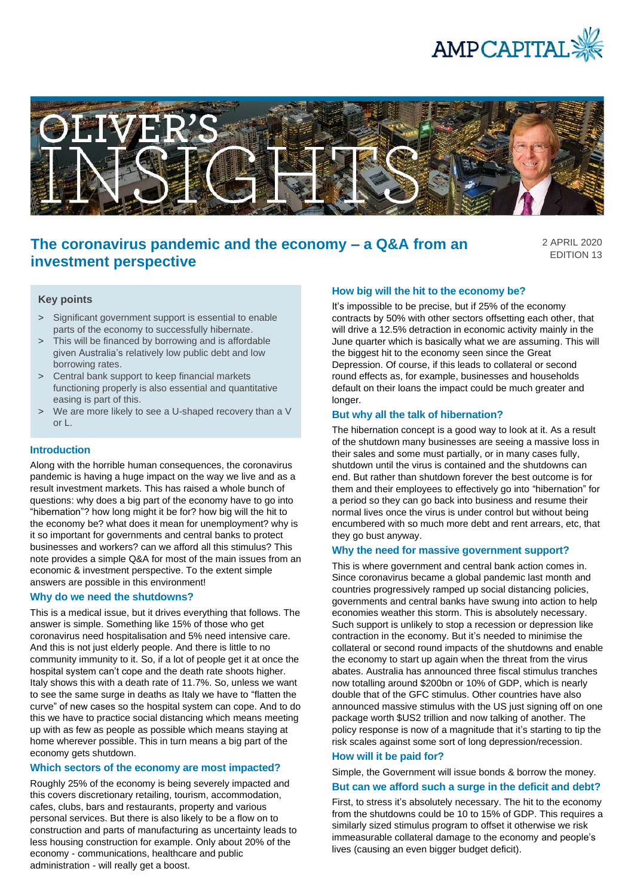



# **The coronavirus pandemic and the economy – a Q&A from an investment perspective**

2 APRIL 2020 EDITION 13

## **Key points**

- > Significant government support is essential to enable parts of the economy to successfully hibernate.
- > This will be financed by borrowing and is affordable given Australia's relatively low public debt and low borrowing rates.
- > Central bank support to keep financial markets functioning properly is also essential and quantitative easing is part of this.
- > We are more likely to see a U-shaped recovery than a V or L.

#### **Introduction**

Along with the horrible human consequences, the coronavirus pandemic is having a huge impact on the way we live and as a result investment markets. This has raised a whole bunch of questions: why does a big part of the economy have to go into "hibernation"? how long might it be for? how big will the hit to the economy be? what does it mean for unemployment? why is it so important for governments and central banks to protect businesses and workers? can we afford all this stimulus? This note provides a simple Q&A for most of the main issues from an economic & investment perspective. To the extent simple answers are possible in this environment!

#### **Why do we need the shutdowns?**

This is a medical issue, but it drives everything that follows. The answer is simple. Something like 15% of those who get coronavirus need hospitalisation and 5% need intensive care. And this is not just elderly people. And there is little to no community immunity to it. So, if a lot of people get it at once the hospital system can't cope and the death rate shoots higher. Italy shows this with a death rate of 11.7%. So, unless we want to see the same surge in deaths as Italy we have to "flatten the curve" of new cases so the hospital system can cope. And to do this we have to practice social distancing which means meeting up with as few as people as possible which means staying at home wherever possible. This in turn means a big part of the economy gets shutdown.

#### **Which sectors of the economy are most impacted?**

Roughly 25% of the economy is being severely impacted and this covers discretionary retailing, tourism, accommodation, cafes, clubs, bars and restaurants, property and various personal services. But there is also likely to be a flow on to construction and parts of manufacturing as uncertainty leads to less housing construction for example. Only about 20% of the economy - communications, healthcare and public administration - will really get a boost.

#### **How big will the hit to the economy be?**

It's impossible to be precise, but if 25% of the economy contracts by 50% with other sectors offsetting each other, that will drive a 12.5% detraction in economic activity mainly in the June quarter which is basically what we are assuming. This will the biggest hit to the economy seen since the Great Depression. Of course, if this leads to collateral or second round effects as, for example, businesses and households default on their loans the impact could be much greater and longer.

#### **But why all the talk of hibernation?**

The hibernation concept is a good way to look at it. As a result of the shutdown many businesses are seeing a massive loss in their sales and some must partially, or in many cases fully, shutdown until the virus is contained and the shutdowns can end. But rather than shutdown forever the best outcome is for them and their employees to effectively go into "hibernation" for a period so they can go back into business and resume their normal lives once the virus is under control but without being encumbered with so much more debt and rent arrears, etc, that they go bust anyway.

#### **Why the need for massive government support?**

This is where government and central bank action comes in. Since coronavirus became a global pandemic last month and countries progressively ramped up social distancing policies, governments and central banks have swung into action to help economies weather this storm. This is absolutely necessary. Such support is unlikely to stop a recession or depression like contraction in the economy. But it's needed to minimise the collateral or second round impacts of the shutdowns and enable the economy to start up again when the threat from the virus abates. Australia has announced three fiscal stimulus tranches now totalling around \$200bn or 10% of GDP, which is nearly double that of the GFC stimulus. Other countries have also announced massive stimulus with the US just signing off on one package worth \$US2 trillion and now talking of another. The policy response is now of a magnitude that it's starting to tip the risk scales against some sort of long depression/recession.

#### **How will it be paid for?**

Simple, the Government will issue bonds & borrow the money.

## **But can we afford such a surge in the deficit and debt?**

First, to stress it's absolutely necessary. The hit to the economy from the shutdowns could be 10 to 15% of GDP. This requires a similarly sized stimulus program to offset it otherwise we risk immeasurable collateral damage to the economy and people's lives (causing an even bigger budget deficit).